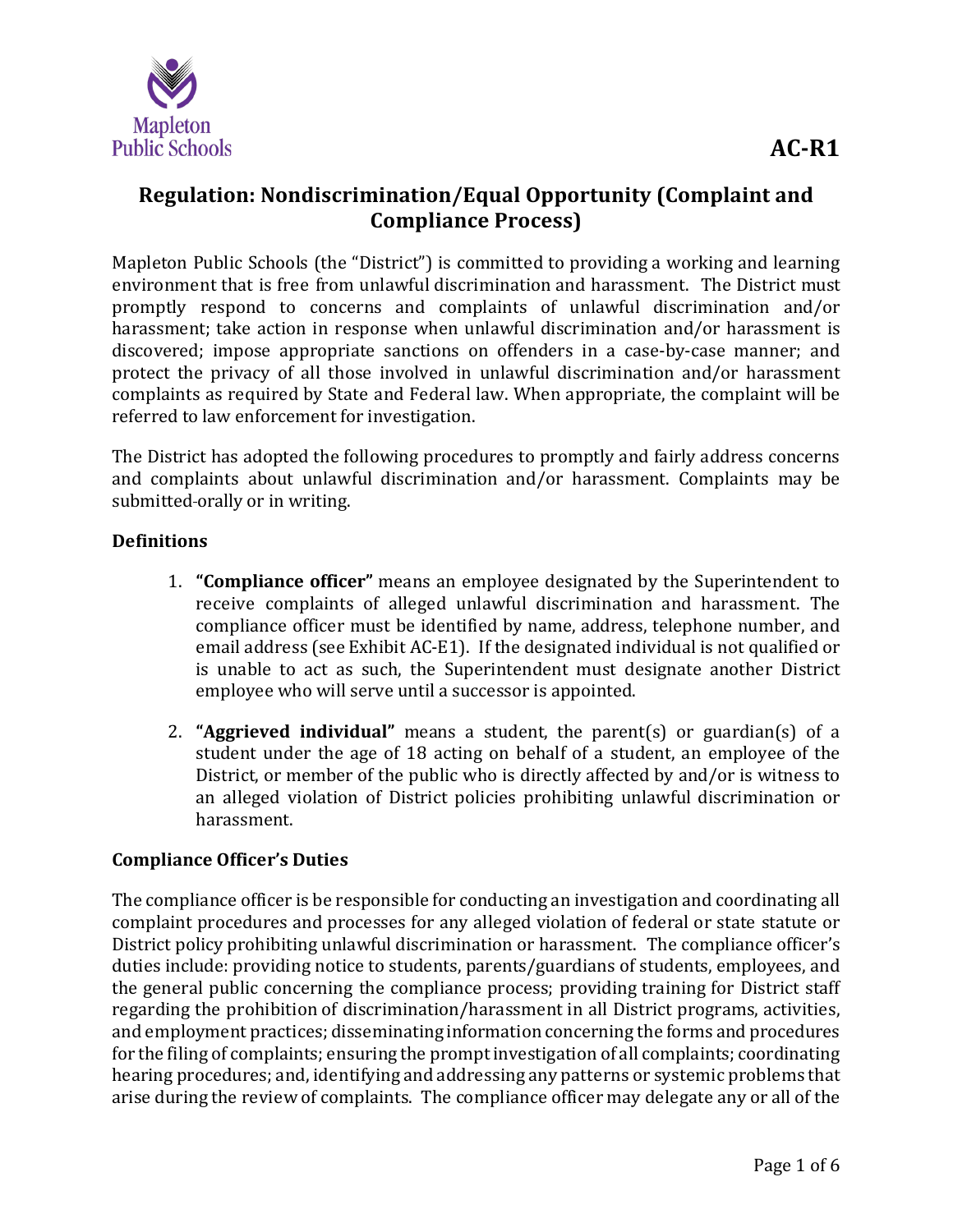

# **Regulation: Nondiscrimination/Equal Opportunity (Complaint and Compliance Process)**

Mapleton Public Schools (the "District") is committed to providing a working and learning environment that is free from unlawful discrimination and harassment. The District must promptly respond to concerns and complaints of unlawful discrimination and/or harassment; take action in response when unlawful discrimination and/or harassment is discovered; impose appropriate sanctions on offenders in a case-by-case manner; and protect the privacy of all those involved in unlawful discrimination and/or harassment complaints as required by State and Federal law. When appropriate, the complaint will be referred to law enforcement for investigation.

The District has adopted the following procedures to promptly and fairly address concerns and complaints about unlawful discrimination and/or harassment. Complaints may be submitted orally or in writing.

## **Definitions**

- 1. **"Compliance officer"** means an employee designated by the Superintendent to receive complaints of alleged unlawful discrimination and harassment. The compliance officer must be identified by name, address, telephone number, and email address (see Exhibit AC-E1). If the designated individual is not qualified or is unable to act as such, the Superintendent must designate another District employee who will serve until a successor is appointed.
- 2. **"Aggrieved individual"** means a student, the parent(s) or guardian(s) of a student under the age of 18 acting on behalf of a student, an employee of the District, or member of the public who is directly affected by and/or is witness to an alleged violation of District policies prohibiting unlawful discrimination or harassment.

### **Compliance Officer's Duties**

The compliance officer is be responsible for conducting an investigation and coordinating all complaint procedures and processes for any alleged violation of federal or state statute or District policy prohibiting unlawful discrimination or harassment. The compliance officer's duties include: providing notice to students, parents/guardians of students, employees, and the general public concerning the compliance process; providing training for District staff regarding the prohibition of discrimination/harassment in all District programs, activities, and employment practices; disseminating information concerning the forms and procedures for the filing of complaints; ensuring the promptinvestigation of all complaints; coordinating hearing procedures; and, identifying and addressing any patterns or systemic problems that arise during the review of complaints. The compliance officer may delegate any or all of the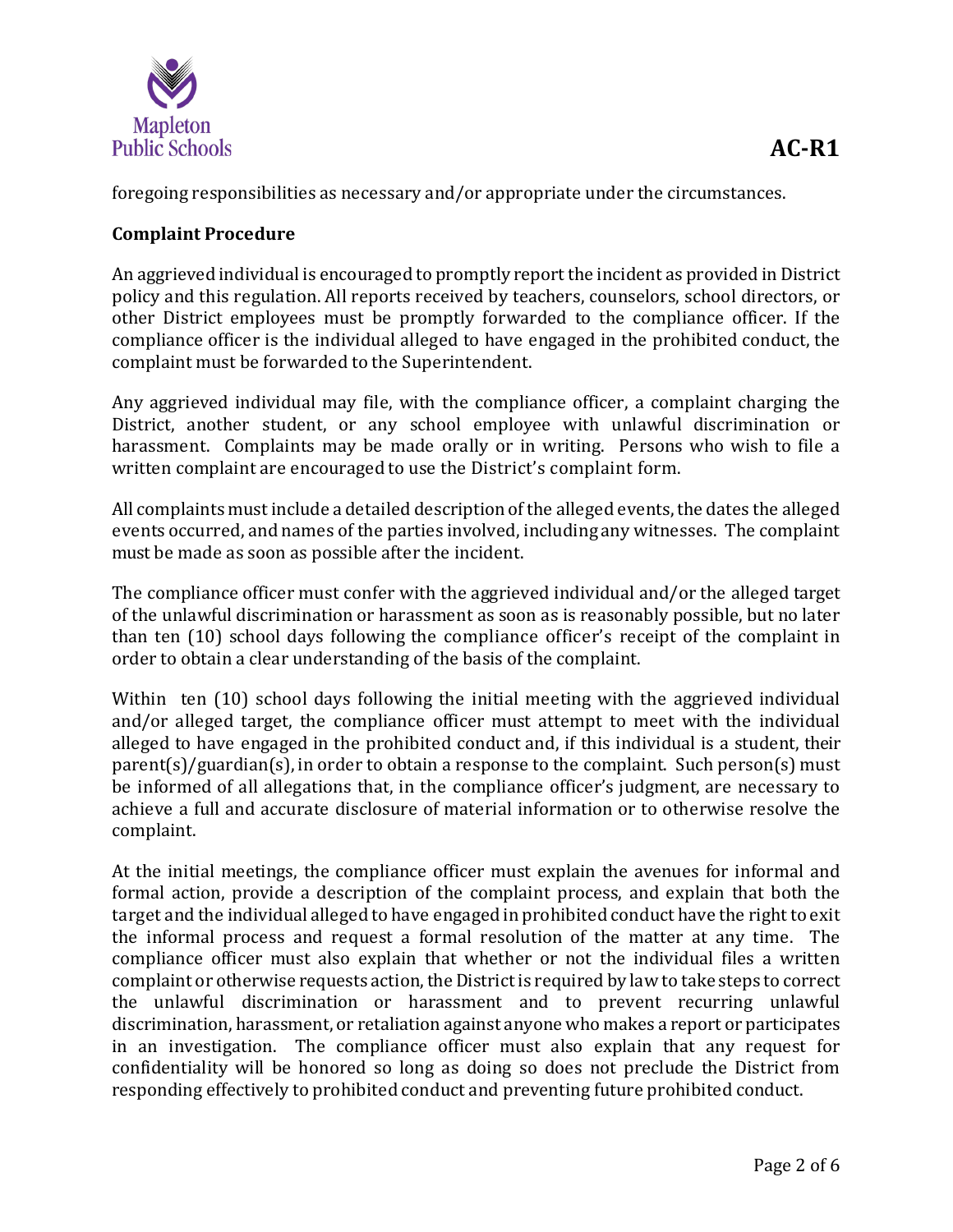

foregoing responsibilities as necessary and/or appropriate under the circumstances.

## **Complaint Procedure**

An aggrieved individual is encouraged to promptly report the incident as provided in District policy and this regulation. All reports received by teachers, counselors, school directors, or other District employees must be promptly forwarded to the compliance officer. If the compliance officer is the individual alleged to have engaged in the prohibited conduct, the complaint must be forwarded to the Superintendent.

Any aggrieved individual may file, with the compliance officer, a complaint charging the District, another student, or any school employee with unlawful discrimination or harassment. Complaints may be made orally or in writing. Persons who wish to file a written complaint are encouraged to use the District's complaint form.

All complaints mustinclude a detailed description ofthe alleged events,the dates the alleged events occurred, and names of the parties involved, including any witnesses. The complaint must be made as soon as possible after the incident.

The compliance officer must confer with the aggrieved individual and/or the alleged target of the unlawful discrimination or harassment as soon as is reasonably possible, but no later than ten (10) school days following the compliance officer's receipt of the complaint in order to obtain a clear understanding of the basis of the complaint.

Within ten (10) school days following the initial meeting with the aggrieved individual and/or alleged target, the compliance officer must attempt to meet with the individual alleged to have engaged in the prohibited conduct and, if this individual is a student, their parent(s)/guardian(s), in order to obtain a response to the complaint. Such person(s) must be informed of all allegations that, in the compliance officer's judgment, are necessary to achieve a full and accurate disclosure of material information or to otherwise resolve the complaint.

At the initial meetings, the compliance officer must explain the avenues for informal and formal action, provide a description of the complaint process, and explain that both the target and the individual alleged to have engaged in prohibited conduct have the right to exit the informal process and request a formal resolution of the matter at any time. The compliance officer must also explain that whether or not the individual files a written complaint or otherwise requests action, the District is required by law to take steps to correct the unlawful discrimination or harassment and to prevent recurring unlawful discrimination, harassment, or retaliation against anyone who makes a report or participates in an investigation. The compliance officer must also explain that any request for confidentiality will be honored so long as doing so does not preclude the District from responding effectively to prohibited conduct and preventing future prohibited conduct.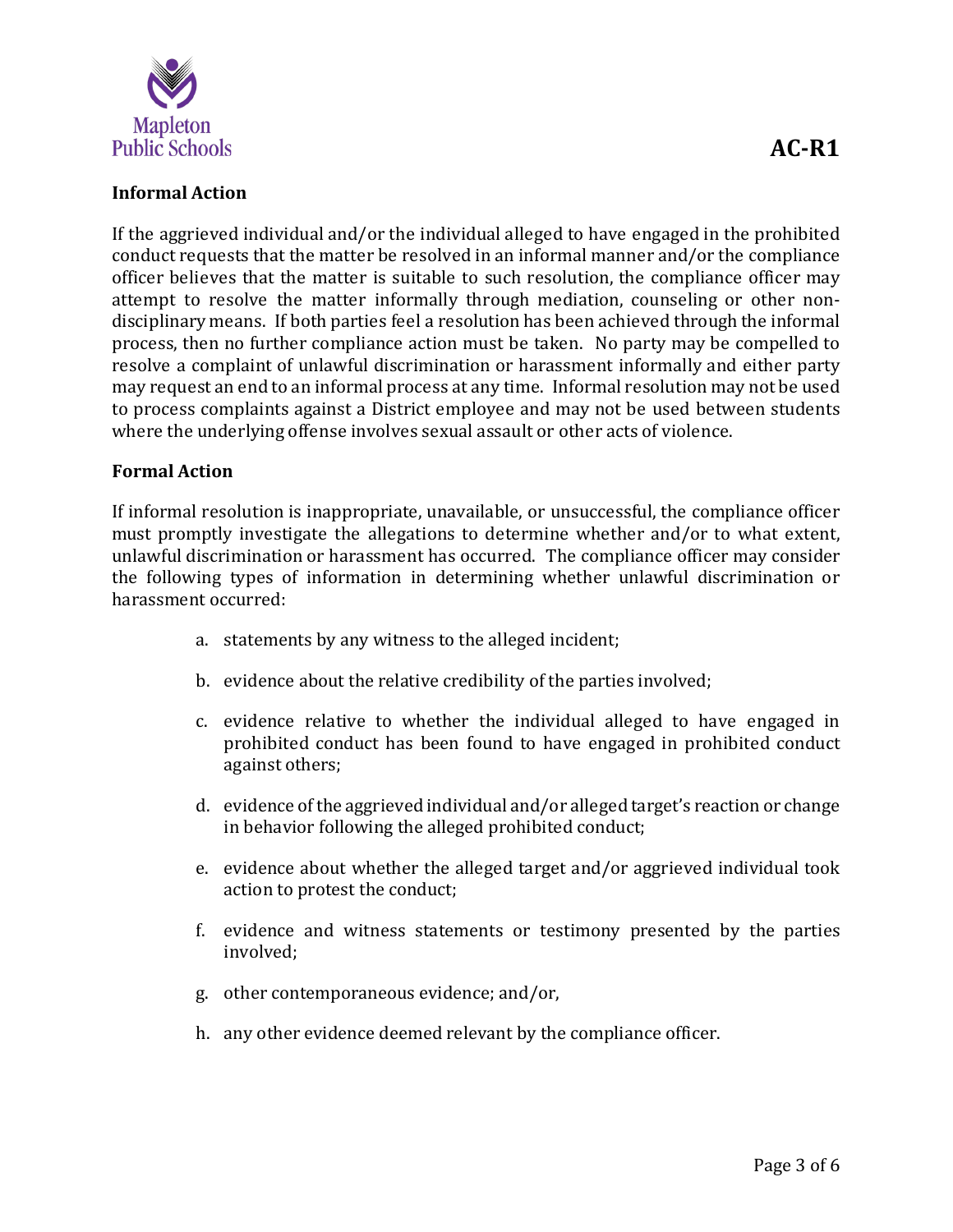

#### **Informal Action**

If the aggrieved individual and/or the individual alleged to have engaged in the prohibited conduct requests that the matter be resolved in an informal manner and/or the compliance officer believes that the matter is suitable to such resolution, the compliance officer may attempt to resolve the matter informally through mediation, counseling or other nondisciplinary means. If both parties feel a resolution has been achieved through the informal process, then no further compliance action must be taken. No party may be compelled to resolve a complaint of unlawful discrimination or harassment informally and either party may request an end to an informal process at any time. Informal resolution may not be used to process complaints against a District employee and may not be used between students where the underlying offense involves sexual assault or other acts of violence.

#### **Formal Action**

If informal resolution is inappropriate, unavailable, or unsuccessful, the compliance officer must promptly investigate the allegations to determine whether and/or to what extent, unlawful discrimination or harassment has occurred. The compliance officer may consider the following types of information in determining whether unlawful discrimination or harassment occurred:

- a. statements by any witness to the alleged incident;
- b. evidence about the relative credibility of the parties involved;
- c. evidence relative to whether the individual alleged to have engaged in prohibited conduct has been found to have engaged in prohibited conduct against others;
- d. evidence ofthe aggrieved individual and/or alleged target's reaction or change in behavior following the alleged prohibited conduct;
- e. evidence about whether the alleged target and/or aggrieved individual took action to protest the conduct;
- f. evidence and witness statements or testimony presented by the parties involved;
- g. other contemporaneous evidence; and/or,
- h. any other evidence deemed relevant by the compliance officer.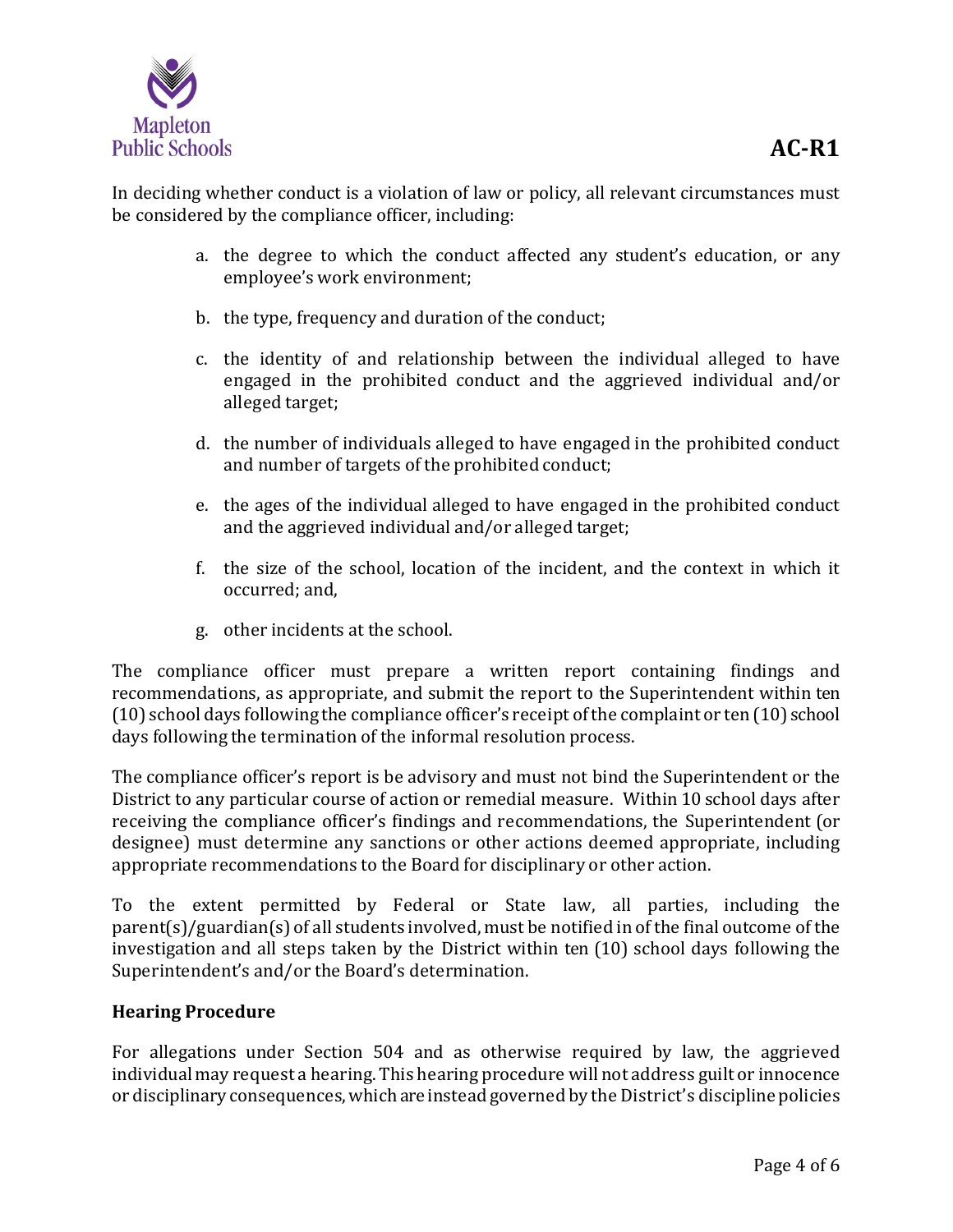

In deciding whether conduct is a violation of law or policy, all relevant circumstances must be considered by the compliance officer, including:

- a. the degree to which the conduct affected any student's education, or any employee's work environment;
- b. the type, frequency and duration of the conduct;
- c. the identity of and relationship between the individual alleged to have engaged in the prohibited conduct and the aggrieved individual and/or alleged target;
- d. the number of individuals alleged to have engaged in the prohibited conduct and number of targets of the prohibited conduct;
- e. the ages of the individual alleged to have engaged in the prohibited conduct and the aggrieved individual and/or alleged target;
- f. the size of the school, location of the incident, and the context in which it occurred; and,
- g. other incidents at the school.

The compliance officer must prepare a written report containing findings and recommendations, as appropriate, and submit the report to the Superintendent within ten (10) school days following the compliance officer's receipt ofthe complaint or ten (10) school days following the termination of the informal resolution process.

The compliance officer's report is be advisory and must not bind the Superintendent or the District to any particular course of action or remedial measure. Within 10 school days after receiving the compliance officer's findings and recommendations, the Superintendent (or designee) must determine any sanctions or other actions deemed appropriate, including appropriate recommendations to the Board for disciplinary or other action.

To the extent permitted by Federal or State law, all parties, including the parent(s)/guardian(s) of all students involved, must be notified in of the final outcome of the investigation and all steps taken by the District within ten (10) school days following the Superintendent's and/or the Board's determination.

### **Hearing Procedure**

For allegations under Section 504 and as otherwise required by law, the aggrieved individual may request a hearing. This hearing procedure will not address guilt or innocence or disciplinary consequences, which are instead governed by the District's discipline policies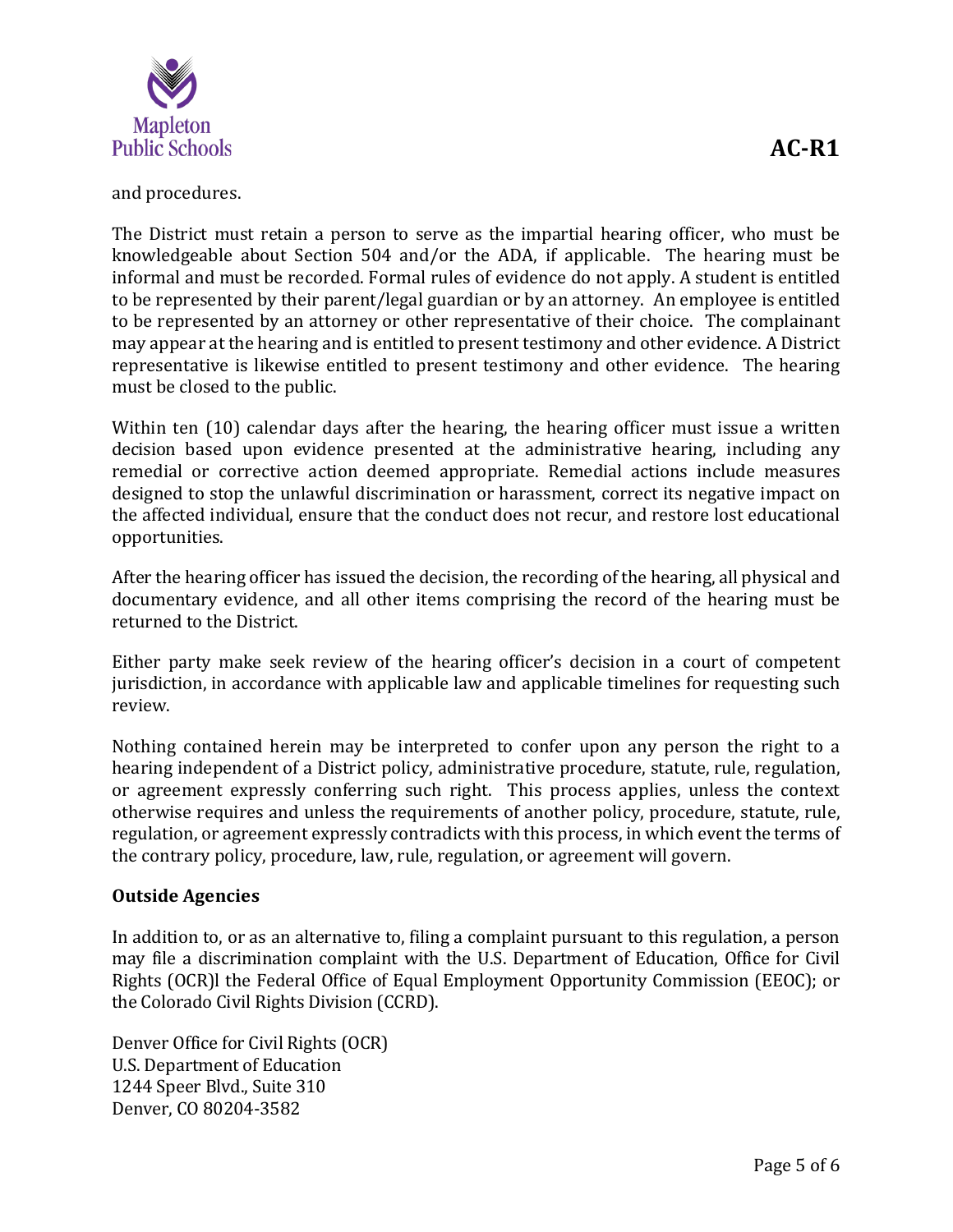

and procedures.

The District must retain a person to serve as the impartial hearing officer, who must be knowledgeable about Section 504 and/or the ADA, if applicable. The hearing must be informal and must be recorded. Formal rules of evidence do not apply. A student is entitled to be represented by their parent/legal guardian or by an attorney. An employee is entitled to be represented by an attorney or other representative of their choice. The complainant may appear at the hearing and is entitled to present testimony and other evidence. A District representative is likewise entitled to present testimony and other evidence. The hearing must be closed to the public.

Within ten (10) calendar days after the hearing, the hearing officer must issue a written decision based upon evidence presented at the administrative hearing, including any remedial or corrective action deemed appropriate. Remedial actions include measures designed to stop the unlawful discrimination or harassment, correct its negative impact on the affected individual, ensure that the conduct does not recur, and restore lost educational opportunities.

After the hearing officer has issued the decision, the recording of the hearing, all physical and documentary evidence, and all other items comprising the record of the hearing must be returned to the District.

Either party make seek review of the hearing officer's decision in a court of competent jurisdiction, in accordance with applicable law and applicable timelines for requesting such review.

Nothing contained herein may be interpreted to confer upon any person the right to a hearing independent of a District policy, administrative procedure, statute, rule, regulation, or agreement expressly conferring such right. This process applies, unless the context otherwise requires and unless the requirements of another policy, procedure, statute, rule, regulation, or agreement expressly contradicts with this process, in which event the terms of the contrary policy, procedure, law, rule, regulation, or agreement will govern.

### **Outside Agencies**

In addition to, or as an alternative to, filing a complaint pursuant to this regulation, a person may file a discrimination complaint with the U.S. Department of Education, Office for Civil Rights (OCR)l the Federal Office of Equal Employment Opportunity Commission (EEOC); or the Colorado Civil Rights Division (CCRD).

Denver Office for Civil Rights (OCR) U.S. Department of Education 1244 Speer Blvd., Suite 310 Denver, CO 80204-3582